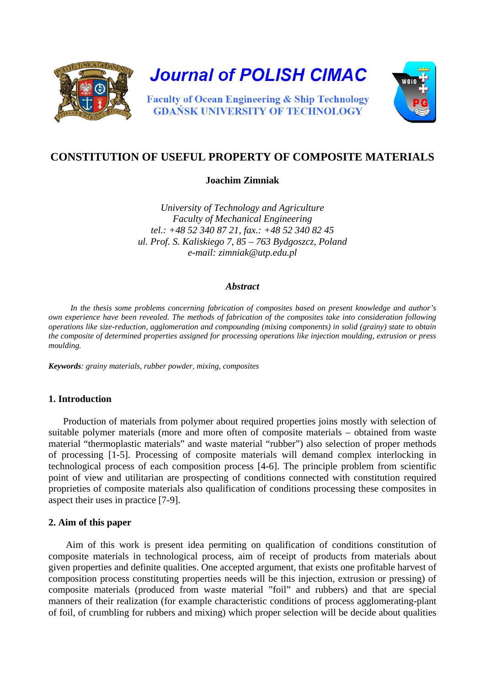

**Journal of POLISH CIMAC** 

**Faculty of Ocean Engineering & Ship Technology GDAŃSK UNIVERSITY OF TECHNOLOGY** 



# **CONSTITUTION OF USEFUL PROPERTY OF COMPOSITE MATERIALS**

### **Joachim Zimniak**

*University of Technology and Agriculture Faculty of Mechanical Engineering tel.: +48 52 340 87 21, fax.: +48 52 340 82 45 ul. Prof. S. Kaliskiego 7, 85 – 763 Bydgoszcz, Poland e-mail: zimniak@utp.edu.pl*

#### *Abstract*

*In the thesis some problems concerning fabrication of composites based on present knowledge and author's own experience have been revealed. The methods of fabrication of the composites take into consideration following operations like size-reduction, agglomeration and compounding (mixing components) in solid (grainy) state to obtain the composite of determined properties assigned for processing operations like injection moulding, extrusion or press moulding.*

*Keywords: grainy materials, rubber powder, mixing, composites*

## **1. Introduction**

Production of materials from polymer about required properties joins mostly with selection of suitable polymer materials (more and more often of composite materials – obtained from waste material "thermoplastic materials" and waste material "rubber") also selection of proper methods of processing [1-5]. Processing of composite materials will demand complex interlocking in technological process of each composition process [4-6]. The principle problem from scientific point of view and utilitarian are prospecting of conditions connected with constitution required proprieties of composite materials also qualification of conditions processing these composites in aspect their uses in practice [7-9].

#### **2. Aim of this paper**

Aim of this work is present idea permiting on qualification of conditions constitution of composite materials in technological process, aim of receipt of products from materials about given properties and definite qualities. One accepted argument, that exists one profitable harvest of composition process constituting properties needs will be this injection, extrusion or pressing) of composite materials (produced from waste material "foil" and rubbers) and that are special manners of their realization (for example characteristic conditions of process agglomerating-plant of foil, of crumbling for rubbers and mixing) which proper selection will be decide about qualities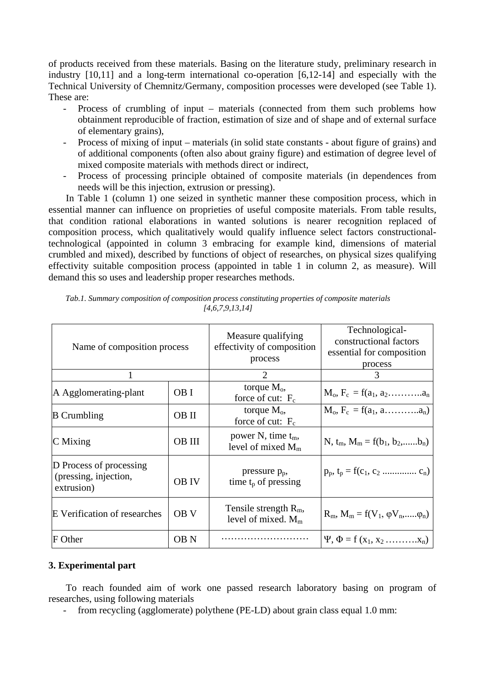of products received from these materials. Basing on the literature study, preliminary research in industry [10,11] and a long-term international co-operation [6,12-14] and especially with the Technical University of Chemnitz/Germany, composition processes were developed (see Table 1). These are:

- Process of crumbling of input materials (connected from them such problems how obtainment reproducible of fraction, estimation of size and of shape and of external surface of elementary grains),
- Process of mixing of input materials (in solid state constants about figure of grains) and of additional components (often also about grainy figure) and estimation of degree level of mixed composite materials with methods direct or indirect,
- Process of processing principle obtained of composite materials (in dependences from needs will be this injection, extrusion or pressing).

In Table 1 (column 1) one seized in synthetic manner these composition process, which in essential manner can influence on proprieties of useful composite materials. From table results, that condition rational elaborations in wanted solutions is nearer recognition replaced of composition process, which qualitatively would qualify influence select factors constructionaltechnological (appointed in column 3 embracing for example kind, dimensions of material crumbled and mixed), described by functions of object of researches, on physical sizes qualifying effectivity suitable composition process (appointed in table 1 in column 2, as measure). Will demand this so uses and leadership proper researches methods.

| Name of composition process                                    |                 | Measure qualifying<br>effectivity of composition<br>process | Technological-<br>constructional factors<br>essential for composition<br>process |
|----------------------------------------------------------------|-----------------|-------------------------------------------------------------|----------------------------------------------------------------------------------|
|                                                                |                 | $\mathcal{D}_{\mathcal{A}}$                                 | $\mathcal{R}$                                                                    |
| A Agglomerating-plant                                          | OB I            | torque $M_0$ ,<br>force of cut: $F_c$                       | $M_o, F_c = f(a_1, a_2, \ldots, a_n)$                                            |
| <b>B</b> Crumbling                                             | OB II           | torque $M_0$ ,<br>force of cut: $F_c$                       | $M_o, F_c = f(a_1, a, \ldots, a_n)$                                              |
| $\mathbf C$ Mixing                                             | <b>OB III</b>   | power N, time $t_m$ ,<br>level of mixed $M_m$               | N, $t_m$ , $M_m = f(b_1, b_2, \ldots, b_n)$                                      |
| D Process of processing<br>(pressing, injection,<br>extrusion) | <b>OB IV</b>    | pressure p <sub>p</sub> ,<br>time $t_p$ of pressing         | $p_p, t_p = f(c_1, c_2 \dots \dots \dots c_n)$                                   |
| E Verification of researches                                   | OB <sub>V</sub> | Tensile strength $R_m$ ,<br>level of mixed. $M_m$           | $R_m$ , $M_m = f(V_1, \phi V_n, \dots, \phi_n)$                                  |
| F Other                                                        | OB <sub>N</sub> |                                                             | $\Psi$ , $\Phi = f(x_1, x_2 \dots x_n)$                                          |

| Tab.1. Summary composition of composition process constituting properties of composite materials |
|--------------------------------------------------------------------------------------------------|
| [4,6,7,9,13,14]                                                                                  |

## **3. Experimental part**

To reach founded aim of work one passed research laboratory basing on program of researches, using following materials

- from recycling (agglomerate) polythene (PE-LD) about grain class equal 1.0 mm: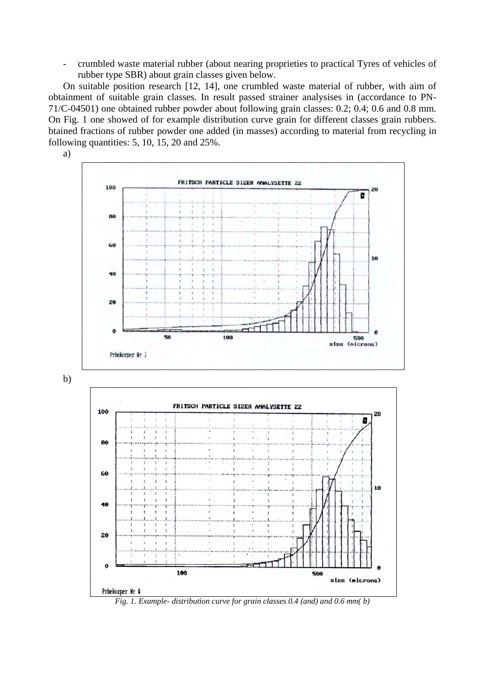- crumbled waste material rubber (about nearing proprieties to practical Tyres of vehicles of rubber type SBR) about grain classes given below.

On suitable position research [12, 14], one crumbled waste material of rubber, with aim of obtainment of suitable grain classes. In result passed strainer analysises in (accordance to PN-71/C-04501) one obtained rubber powder about following grain classes: 0.2; 0.4; 0.6 and 0.8 mm. On Fig. 1 one showed of for example distribution curve grain for different classes grain rubbers. btained fractions of rubber powder one added (in masses) according to material from recycling in following quantities: 5, 10, 15, 20 and 25%.



b)



*Fig. 1. Example- distribution curve for grain classes 0.4 (and) and 0.6 mm( b)*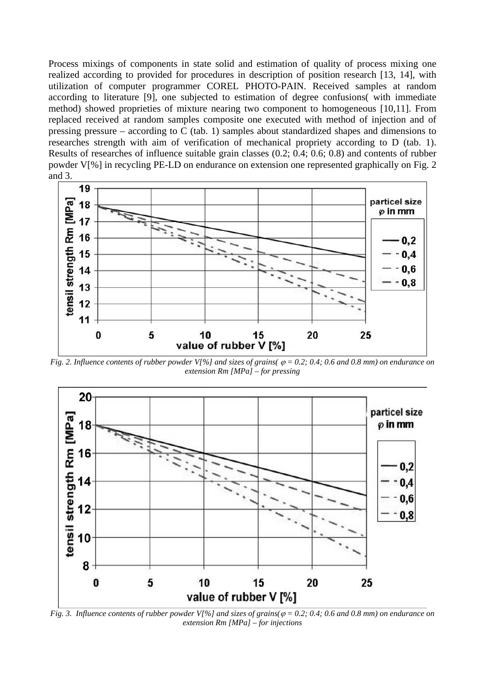Process mixings of components in state solid and estimation of quality of process mixing one realized according to provided for procedures in description of position research [13, 14], with utilization of computer programmer COREL PHOTO-PAIN. Received samples at random according to literature [9], one subjected to estimation of degree confusions( with immediate method) showed proprieties of mixture nearing two component to homogeneous [10,11]. From replaced received at random samples composite one executed with method of injection and of pressing pressure – according to C (tab. 1) samples about standardized shapes and dimensions to researches strength with aim of verification of mechanical propriety according to D (tab. 1). Results of researches of influence suitable grain classes (0.2; 0.4; 0.6; 0.8) and contents of rubber powder V[%] in recycling PE-LD on endurance on extension one represented graphically on Fig. 2 and 3.



*Fig. 2. Influence contents of rubber powder V[%] and sizes of grains(*  $\varphi$  *= 0.2; 0.4; 0.6 and 0.8 mm) on endurance on extension Rm [MPa] – for pressing*



*Fig. 3. Influence contents of rubber powder V[%] and sizes of grains(* $\varphi$  *= 0.2; 0.4; 0.6 and 0.8 mm) on endurance on extension Rm [MPa] – for injections*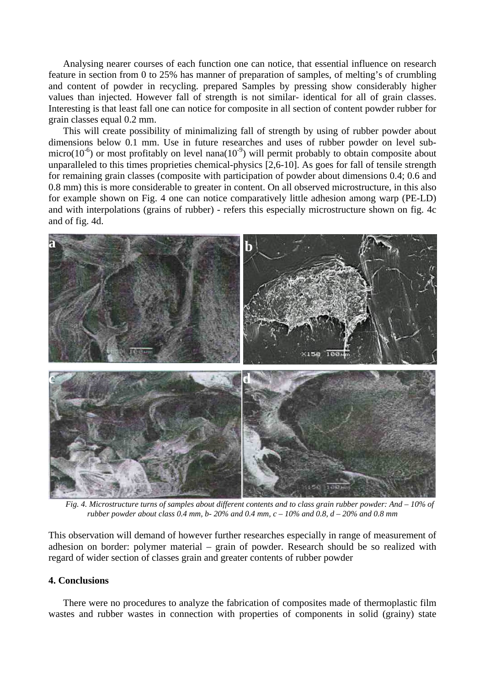Analysing nearer courses of each function one can notice, that essential influence on research feature in section from 0 to 25% has manner of preparation of samples, of melting's of crumbling and content of powder in recycling. prepared Samples by pressing show considerably higher values than injected. However fall of strength is not similar- identical for all of grain classes. Interesting is that least fall one can notice for composite in all section of content powder rubber for grain classes equal 0.2 mm.

This will create possibility of minimalizing fall of strength by using of rubber powder about dimensions below 0.1 mm. Use in future researches and uses of rubber powder on level submicro( $10^{-6}$ ) or most profitably on level nana( $10^{-9}$ ) will permit probably to obtain composite about unparalleled to this times proprieties chemical-physics [2,6-10]. As goes for fall of tensile strength for remaining grain classes (composite with participation of powder about dimensions 0.4; 0.6 and 0.8 mm) this is more considerable to greater in content. On all observed microstructure, in this also for example shown on Fig. 4 one can notice comparatively little adhesion among warp (PE-LD) and with interpolations (grains of rubber) - refers this especially microstructure shown on fig. 4c and of fig. 4d.



*Fig. 4. Microstructure turns of samples about different contents and to class grain rubber powder: And – 10% of rubber powder about class 0.4 mm, b- 20% and 0.4 mm, c – 10% and 0.8, d – 20% and 0.8 mm*

This observation will demand of however further researches especially in range of measurement of adhesion on border: polymer material – grain of powder. Research should be so realized with regard of wider section of classes grain and greater contents of rubber powder

#### **4. Conclusions**

There were no procedures to analyze the fabrication of composites made of thermoplastic film wastes and rubber wastes in connection with properties of components in solid (grainy) state